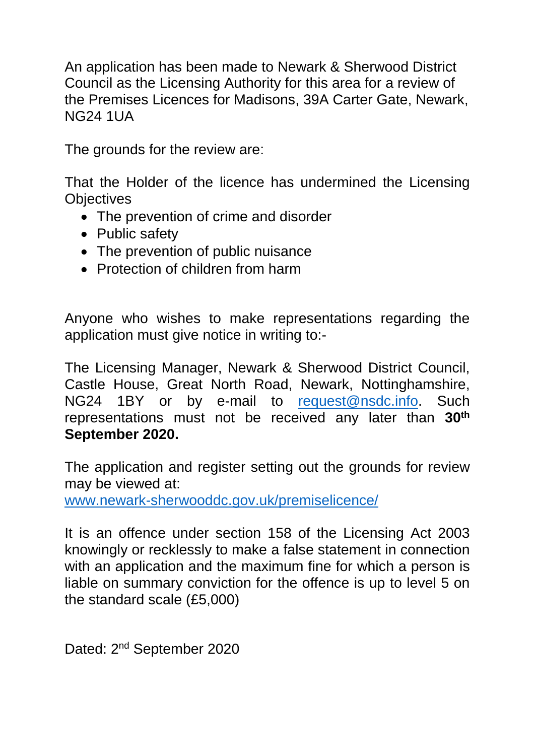An application has been made to Newark & Sherwood District Council as the Licensing Authority for this area for a review of the Premises Licences for Madisons, 39A Carter Gate, Newark, NG24 1UA

The grounds for the review are:

That the Holder of the licence has undermined the Licensing **Objectives** 

- The prevention of crime and disorder
- Public safety
- The prevention of public nuisance
- Protection of children from harm

Anyone who wishes to make representations regarding the application must give notice in writing to:-

The Licensing Manager, Newark & Sherwood District Council, Castle House, Great North Road, Newark, Nottinghamshire, NG24 1BY or by e-mail to [request@nsdc.info.](mailto:request@nsdc.info) Such representations must not be received any later than **30th September 2020.**

The application and register setting out the grounds for review may be viewed at:

[www.newark-sherwooddc.gov.uk/premiselicence/](http://www.newark-sherwooddc.gov.uk/premiselicence/)

It is an offence under section 158 of the Licensing Act 2003 knowingly or recklessly to make a false statement in connection with an application and the maximum fine for which a person is liable on summary conviction for the offence is up to level 5 on the standard scale (£5,000)

Dated: 2nd September 2020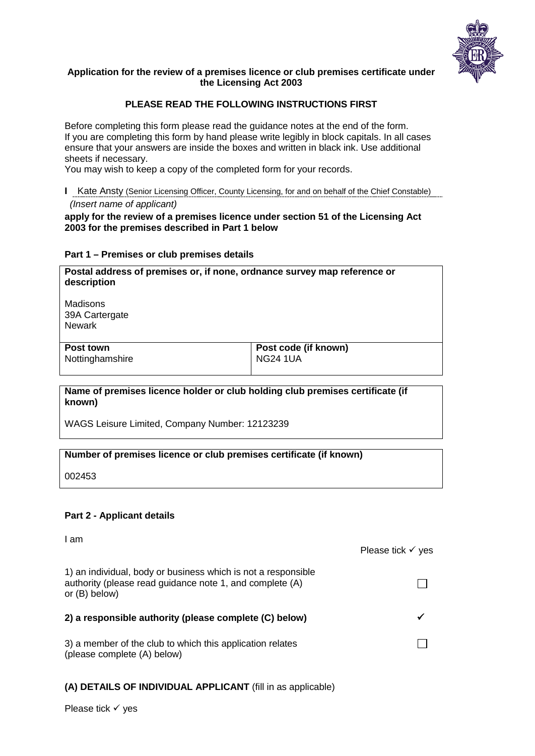

## **Application for the review of a premises licence or club premises certificate under the Licensing Act 2003**

## **PLEASE READ THE FOLLOWING INSTRUCTIONS FIRST**

Before completing this form please read the guidance notes at the end of the form. If you are completing this form by hand please write legibly in block capitals. In all cases ensure that your answers are inside the boxes and written in black ink. Use additional sheets if necessary.

You may wish to keep a copy of the completed form for your records.

**I** Kate Ansty (Senior Licensing Officer, County Licensing, for and on behalf of the Chief Constable)  *(Insert name of applicant)*

**apply for the review of a premises licence under section 51 of the Licensing Act 2003 for the premises described in Part 1 below**

#### **Part 1 – Premises or club premises details**

| Postal address of premises or, if none, ordnance survey map reference or<br>description |                                         |  |
|-----------------------------------------------------------------------------------------|-----------------------------------------|--|
| Madisons<br>39A Cartergate<br><b>Newark</b>                                             |                                         |  |
| Post town<br>Nottinghamshire                                                            | Post code (if known)<br><b>NG24 1UA</b> |  |

**Name of premises licence holder or club holding club premises certificate (if known)**

WAGS Leisure Limited, Company Number: 12123239

## **Number of premises licence or club premises certificate (if known)**

002453

## **Part 2 - Applicant details**

| am                                                                                                                                           | Please tick $\checkmark$ yes |
|----------------------------------------------------------------------------------------------------------------------------------------------|------------------------------|
| 1) an individual, body or business which is not a responsible<br>authority (please read guidance note 1, and complete (A)<br>or $(B)$ below) |                              |
| 2) a responsible authority (please complete (C) below)                                                                                       |                              |
| 3) a member of the club to which this application relates<br>(please complete (A) below)                                                     |                              |

## **(A) DETAILS OF INDIVIDUAL APPLICANT** (fill in as applicable)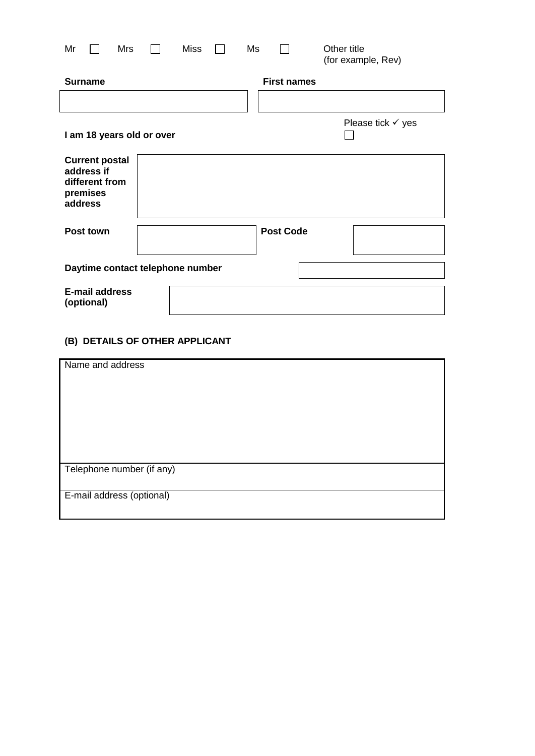| Mr                                                                           | <b>Mrs</b> | Miss | Ms |                    | Other title<br>(for example, Rev) |
|------------------------------------------------------------------------------|------------|------|----|--------------------|-----------------------------------|
| <b>Surname</b>                                                               |            |      |    | <b>First names</b> |                                   |
|                                                                              |            |      |    |                    |                                   |
| I am 18 years old or over                                                    |            |      |    |                    | Please tick $\checkmark$ yes      |
| <b>Current postal</b><br>address if<br>different from<br>premises<br>address |            |      |    |                    |                                   |
| Post town                                                                    |            |      |    | <b>Post Code</b>   |                                   |
| Daytime contact telephone number                                             |            |      |    |                    |                                   |
| <b>E-mail address</b><br>(optional)                                          |            |      |    |                    |                                   |

# **(B) DETAILS OF OTHER APPLICANT**

| Name and address          |
|---------------------------|
|                           |
| Telephone number (if any) |
| E-mail address (optional) |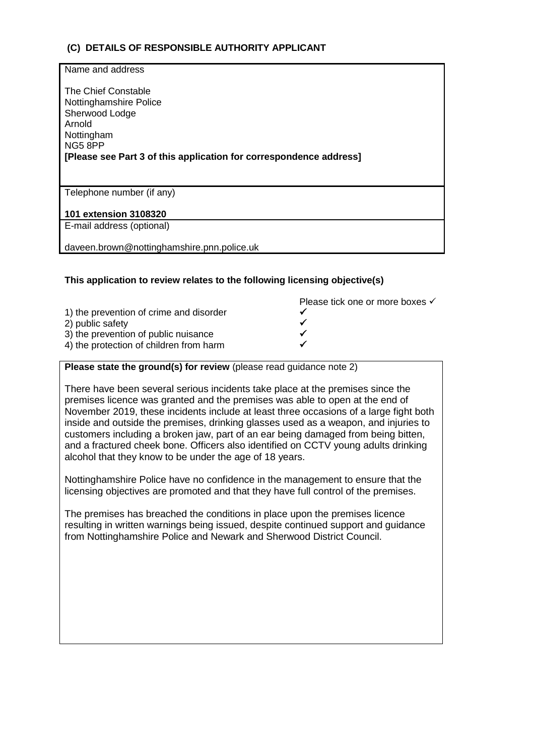# **(C) DETAILS OF RESPONSIBLE AUTHORITY APPLICANT**

| Name and address<br>The Chief Constable                                      |
|------------------------------------------------------------------------------|
| Nottinghamshire Police                                                       |
| Sherwood Lodge<br>Arnold                                                     |
| Nottingham                                                                   |
| NG58PP<br>[Please see Part 3 of this application for correspondence address] |
|                                                                              |
| Telephone number (if any)                                                    |
| 101 extension 3108320                                                        |
| E-mail address (optional)                                                    |
| daveen.brown@nottinghamshire.pnn.police.uk                                   |

## **This application to review relates to the following licensing objective(s)**

|                                         | Please tick one or more boxes √ |
|-----------------------------------------|---------------------------------|
| 1) the prevention of crime and disorder |                                 |
| 2) public safety                        |                                 |
| 3) the prevention of public nuisance    |                                 |
| 4) the protection of children from harm |                                 |
|                                         |                                 |

## **Please state the ground(s) for review** (please read guidance note 2)

There have been several serious incidents take place at the premises since the premises licence was granted and the premises was able to open at the end of November 2019, these incidents include at least three occasions of a large fight both inside and outside the premises, drinking glasses used as a weapon, and injuries to customers including a broken jaw, part of an ear being damaged from being bitten, and a fractured cheek bone. Officers also identified on CCTV young adults drinking alcohol that they know to be under the age of 18 years.

Nottinghamshire Police have no confidence in the management to ensure that the licensing objectives are promoted and that they have full control of the premises.

The premises has breached the conditions in place upon the premises licence resulting in written warnings being issued, despite continued support and guidance from Nottinghamshire Police and Newark and Sherwood District Council.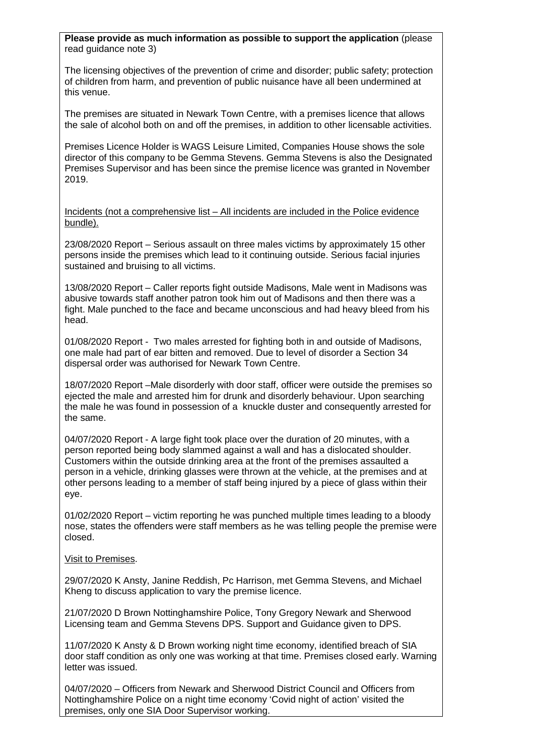**Please provide as much information as possible to support the application** (please read guidance note 3)

The licensing objectives of the prevention of crime and disorder; public safety; protection of children from harm, and prevention of public nuisance have all been undermined at this venue.

The premises are situated in Newark Town Centre, with a premises licence that allows the sale of alcohol both on and off the premises, in addition to other licensable activities.

Premises Licence Holder is WAGS Leisure Limited, Companies House shows the sole director of this company to be Gemma Stevens. Gemma Stevens is also the Designated Premises Supervisor and has been since the premise licence was granted in November 2019.

Incidents (not a comprehensive list – All incidents are included in the Police evidence bundle).

23/08/2020 Report – Serious assault on three males victims by approximately 15 other persons inside the premises which lead to it continuing outside. Serious facial injuries sustained and bruising to all victims.

13/08/2020 Report – Caller reports fight outside Madisons, Male went in Madisons was abusive towards staff another patron took him out of Madisons and then there was a fight. Male punched to the face and became unconscious and had heavy bleed from his head.

01/08/2020 Report - Two males arrested for fighting both in and outside of Madisons, one male had part of ear bitten and removed. Due to level of disorder a Section 34 dispersal order was authorised for Newark Town Centre.

18/07/2020 Report –Male disorderly with door staff, officer were outside the premises so ejected the male and arrested him for drunk and disorderly behaviour. Upon searching the male he was found in possession of a knuckle duster and consequently arrested for the same.

04/07/2020 Report - A large fight took place over the duration of 20 minutes, with a person reported being body slammed against a wall and has a dislocated shoulder. Customers within the outside drinking area at the front of the premises assaulted a person in a vehicle, drinking glasses were thrown at the vehicle, at the premises and at other persons leading to a member of staff being injured by a piece of glass within their eye.

01/02/2020 Report – victim reporting he was punched multiple times leading to a bloody nose, states the offenders were staff members as he was telling people the premise were closed.

## Visit to Premises.

29/07/2020 K Ansty, Janine Reddish, Pc Harrison, met Gemma Stevens, and Michael Kheng to discuss application to vary the premise licence.

21/07/2020 D Brown Nottinghamshire Police, Tony Gregory Newark and Sherwood Licensing team and Gemma Stevens DPS. Support and Guidance given to DPS.

11/07/2020 K Ansty & D Brown working night time economy, identified breach of SIA door staff condition as only one was working at that time. Premises closed early. Warning letter was issued.

04/07/2020 – Officers from Newark and Sherwood District Council and Officers from Nottinghamshire Police on a night time economy 'Covid night of action' visited the premises, only one SIA Door Supervisor working.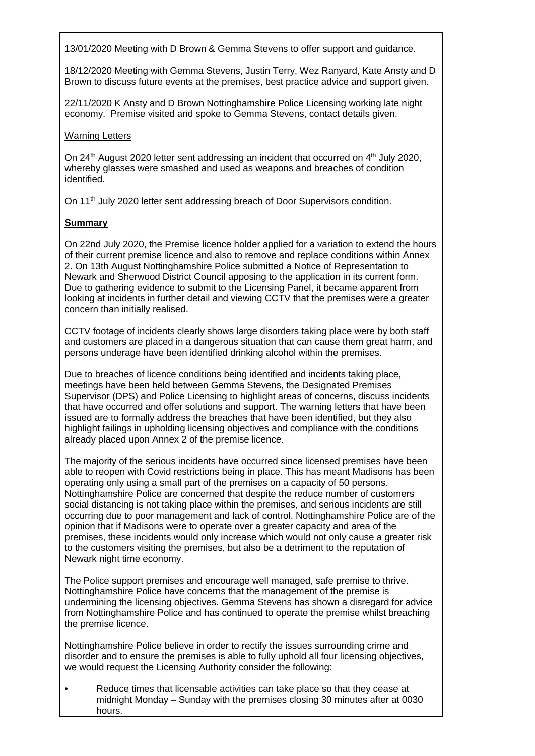13/01/2020 Meeting with D Brown & Gemma Stevens to offer support and guidance.

18/12/2020 Meeting with Gemma Stevens, Justin Terry, Wez Ranyard, Kate Ansty and D Brown to discuss future events at the premises, best practice advice and support given.

22/11/2020 K Ansty and D Brown Nottinghamshire Police Licensing working late night economy. Premise visited and spoke to Gemma Stevens, contact details given.

## Warning Letters

On  $24<sup>th</sup>$  August 2020 letter sent addressing an incident that occurred on  $4<sup>th</sup>$  July 2020, whereby glasses were smashed and used as weapons and breaches of condition identified.

On 11<sup>th</sup> July 2020 letter sent addressing breach of Door Supervisors condition.

## **Summary**

On 22nd July 2020, the Premise licence holder applied for a variation to extend the hours of their current premise licence and also to remove and replace conditions within Annex 2. On 13th August Nottinghamshire Police submitted a Notice of Representation to Newark and Sherwood District Council apposing to the application in its current form. Due to gathering evidence to submit to the Licensing Panel, it became apparent from looking at incidents in further detail and viewing CCTV that the premises were a greater concern than initially realised.

CCTV footage of incidents clearly shows large disorders taking place were by both staff and customers are placed in a dangerous situation that can cause them great harm, and persons underage have been identified drinking alcohol within the premises.

Due to breaches of licence conditions being identified and incidents taking place, meetings have been held between Gemma Stevens, the Designated Premises Supervisor (DPS) and Police Licensing to highlight areas of concerns, discuss incidents that have occurred and offer solutions and support. The warning letters that have been issued are to formally address the breaches that have been identified, but they also highlight failings in upholding licensing objectives and compliance with the conditions already placed upon Annex 2 of the premise licence.

The majority of the serious incidents have occurred since licensed premises have been able to reopen with Covid restrictions being in place. This has meant Madisons has been operating only using a small part of the premises on a capacity of 50 persons. Nottinghamshire Police are concerned that despite the reduce number of customers social distancing is not taking place within the premises, and serious incidents are still occurring due to poor management and lack of control. Nottinghamshire Police are of the opinion that if Madisons were to operate over a greater capacity and area of the premises, these incidents would only increase which would not only cause a greater risk to the customers visiting the premises, but also be a detriment to the reputation of Newark night time economy.

The Police support premises and encourage well managed, safe premise to thrive. Nottinghamshire Police have concerns that the management of the premise is undermining the licensing objectives. Gemma Stevens has shown a disregard for advice from Nottinghamshire Police and has continued to operate the premise whilst breaching the premise licence.

Nottinghamshire Police believe in order to rectify the issues surrounding crime and disorder and to ensure the premises is able to fully uphold all four licensing objectives, we would request the Licensing Authority consider the following:

• Reduce times that licensable activities can take place so that they cease at midnight Monday – Sunday with the premises closing 30 minutes after at 0030 hours.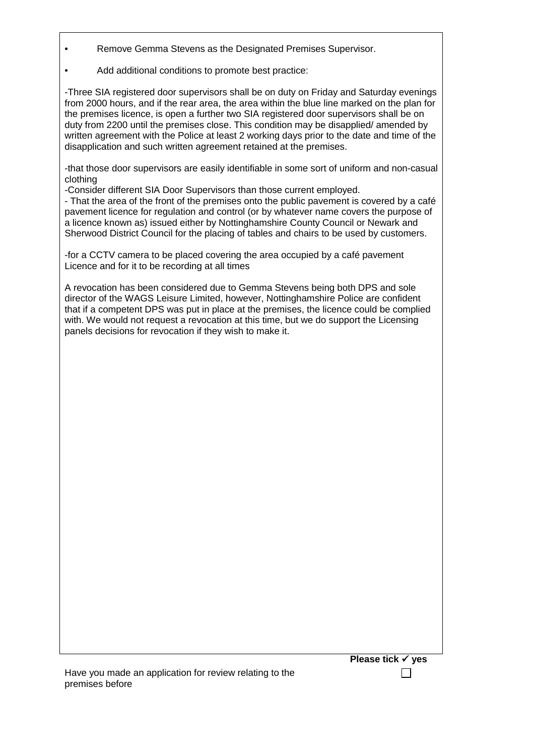- Remove Gemma Stevens as the Designated Premises Supervisor.
- Add additional conditions to promote best practice:

-Three SIA registered door supervisors shall be on duty on Friday and Saturday evenings from 2000 hours, and if the rear area, the area within the blue line marked on the plan for the premises licence, is open a further two SIA registered door supervisors shall be on duty from 2200 until the premises close. This condition may be disapplied/ amended by written agreement with the Police at least 2 working days prior to the date and time of the disapplication and such written agreement retained at the premises.

-that those door supervisors are easily identifiable in some sort of uniform and non-casual clothing

-Consider different SIA Door Supervisors than those current employed.

- That the area of the front of the premises onto the public pavement is covered by a café pavement licence for regulation and control (or by whatever name covers the purpose of a licence known as) issued either by Nottinghamshire County Council or Newark and Sherwood District Council for the placing of tables and chairs to be used by customers.

-for a CCTV camera to be placed covering the area occupied by a café pavement Licence and for it to be recording at all times

A revocation has been considered due to Gemma Stevens being both DPS and sole director of the WAGS Leisure Limited, however, Nottinghamshire Police are confident that if a competent DPS was put in place at the premises, the licence could be complied with. We would not request a revocation at this time, but we do support the Licensing panels decisions for revocation if they wish to make it.

**Please tick √ yes**